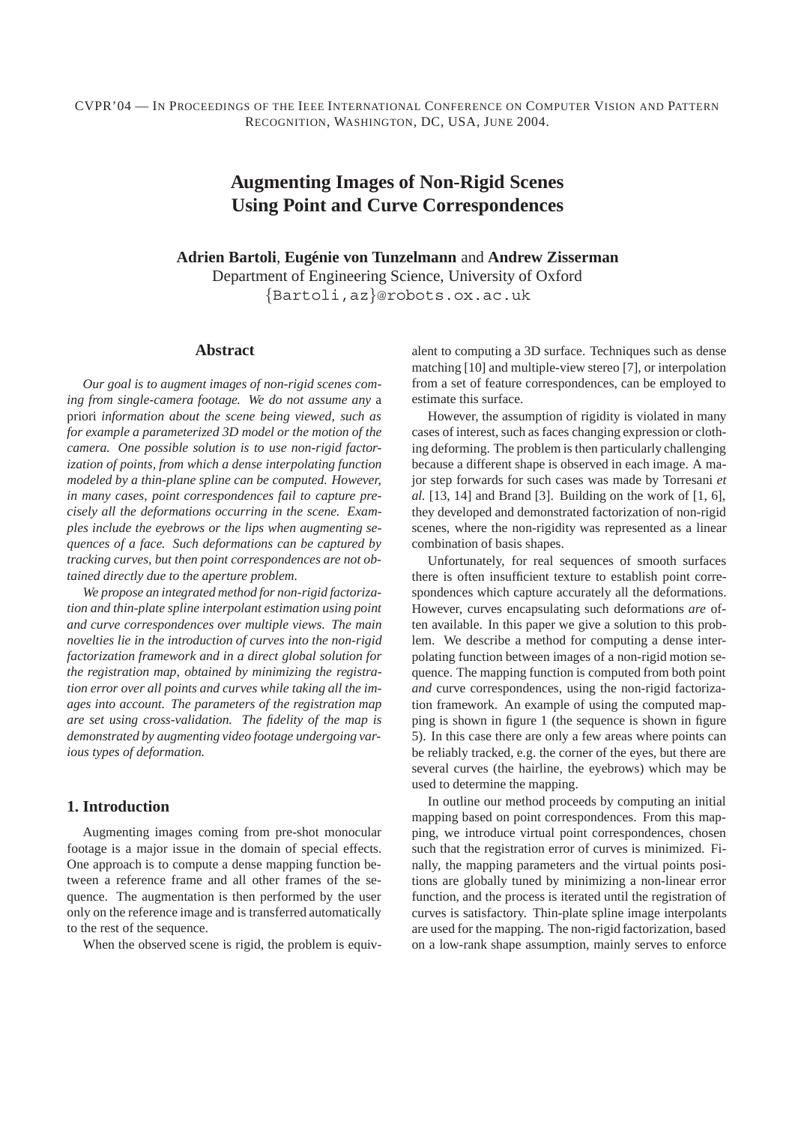# **Augmenting Images of Non-Rigid Scenes Using Point and Curve Correspondences**

**Adrien Bartoli**, **Eugenie von Tunzelmann ´** and **Andrew Zisserman**

Department of Engineering Science, University of Oxford {Bartoli,az}@robots.ox.ac.uk

#### **Abstract**

*Our goal is to augment images of non-rigid scenes coming from single-camera footage. We do not assume any* a priori *information about the scene being viewed, such as for example a parameterized 3D model or the motion of the camera. One possible solution is to use non-rigid factorization of points, from which a dense interpolating function modeled by a thin-plane spline can be computed. However, in many cases, point correspondences fail to capture precisely all the deformations occurring in the scene. Examples include the eyebrows or the lips when augmenting sequences of a face. Such deformations can be captured by tracking curves, but then point correspondences are not obtained directly due to the aperture problem.*

*We propose an integrated method for non-rigid factorization and thin-plate spline interpolant estimation using point and curve correspondences over multiple views. The main novelties lie in the introduction of curves into the non-rigid factorization framework and in a direct global solution for the registration map, obtained by minimizing the registration error over all points and curves while taking all the images into account. The parameters of the registration map are set using cross-validation. The fidelity of the map is demonstrated by augmenting video footage undergoing various types of deformation.*

## **1. Introduction**

Augmenting images coming from pre-shot monocular footage is a major issue in the domain of special effects. One approach is to compute a dense mapping function between a reference frame and all other frames of the sequence. The augmentation is then performed by the user only on the reference image and is transferred automatically to the rest of the sequence.

When the observed scene is rigid, the problem is equiv-

alent to computing a 3D surface. Techniques such as dense matching [10] and multiple-view stereo [7], or interpolation from a set of feature correspondences, can be employed to estimate this surface.

However, the assumption of rigidity is violated in many cases of interest, such as faces changing expression or clothing deforming. The problem is then particularly challenging because a different shape is observed in each image. A major step forwards for such cases was made by Torresani *et al.* [13, 14] and Brand [3]. Building on the work of [1, 6], they developed and demonstrated factorization of non-rigid scenes, where the non-rigidity was represented as a linear combination of basis shapes.

Unfortunately, for real sequences of smooth surfaces there is often insufficient texture to establish point correspondences which capture accurately all the deformations. However, curves encapsulating such deformations *are* often available. In this paper we give a solution to this problem. We describe a method for computing a dense interpolating function between images of a non-rigid motion sequence. The mapping function is computed from both point *and* curve correspondences, using the non-rigid factorization framework. An example of using the computed mapping is shown in figure 1 (the sequence is shown in figure 5). In this case there are only a few areas where points can be reliably tracked, e.g. the corner of the eyes, but there are several curves (the hairline, the eyebrows) which may be used to determine the mapping.

In outline our method proceeds by computing an initial mapping based on point correspondences. From this mapping, we introduce virtual point correspondences, chosen such that the registration error of curves is minimized. Finally, the mapping parameters and the virtual points positions are globally tuned by minimizing a non-linear error function, and the process is iterated until the registration of curves is satisfactory. Thin-plate spline image interpolants are used for the mapping. The non-rigid factorization, based on a low-rank shape assumption, mainly serves to enforce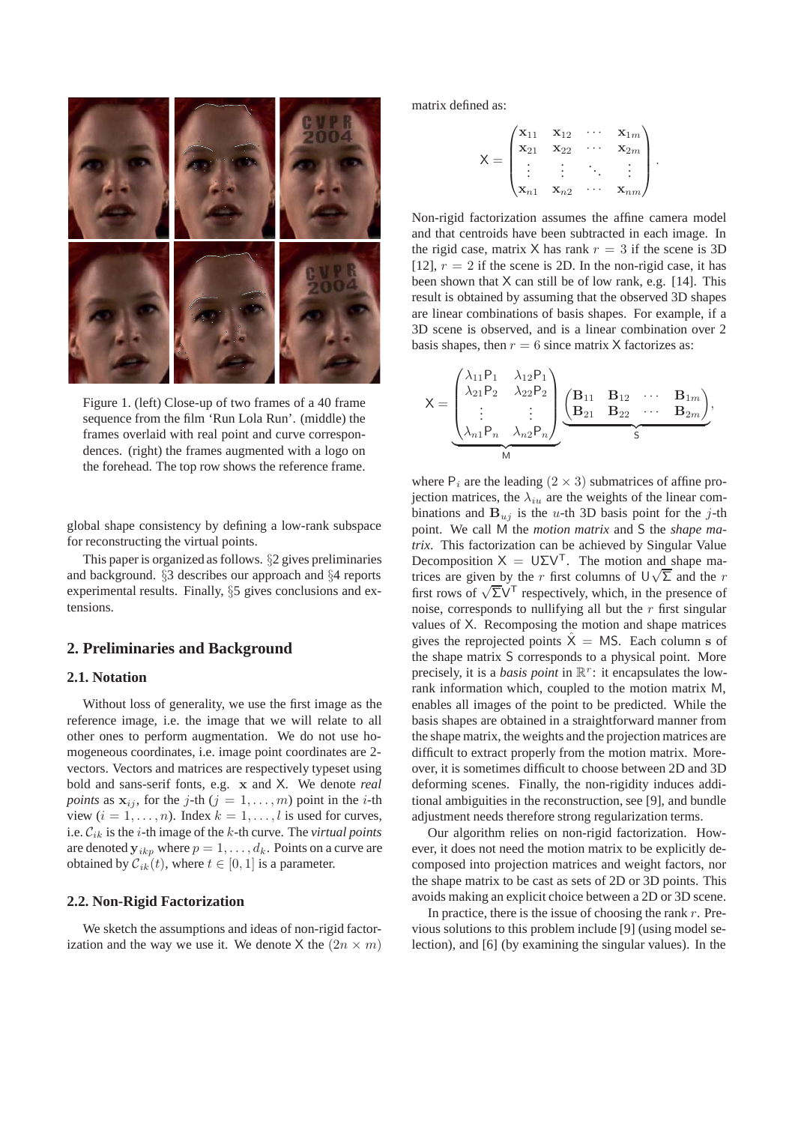

Figure 1. (left) Close-up of two frames of a 40 frame sequence from the film 'Run Lola Run'. (middle) the frames overlaid with real point and curve correspondences. (right) the frames augmented with a logo on the forehead. The top row shows the reference frame.

global shape consistency by defining a low-rank subspace for reconstructing the virtual points.

This paper is organized as follows. §2 gives preliminaries and background. §3 describes our approach and §4 reports experimental results. Finally, §5 gives conclusions and extensions.

## **2. Preliminaries and Background**

## **2.1. Notation**

Without loss of generality, we use the first image as the reference image, i.e. the image that we will relate to all other ones to perform augmentation. We do not use homogeneous coordinates, i.e. image point coordinates are 2 vectors. Vectors and matrices are respectively typeset using bold and sans-serif fonts, e.g. **x** and <sup>X</sup>. We denote *real points* as  $\mathbf{x}_{ij}$ , for the j-th  $(j = 1, \ldots, m)$  point in the *i*-th view  $(i = 1, \ldots, n)$ . Index  $k = 1, \ldots, l$  is used for curves, i.e. C*ik* is the i-th image of the k-th curve. The *virtual points* are denoted  $y_{ikp}$  where  $p = 1, \ldots, d_k$ . Points on a curve are obtained by  $C_{ik}(t)$ , where  $t \in [0, 1]$  is a parameter.

#### **2.2. Non-Rigid Factorization**

We sketch the assumptions and ideas of non-rigid factorization and the way we use it. We denote X the  $(2n \times m)$  matrix defined as:

$$
X = \begin{pmatrix} x_{11} & x_{12} & \cdots & x_{1m} \\ x_{21} & x_{22} & \cdots & x_{2m} \\ \vdots & \vdots & \ddots & \vdots \\ x_{n1} & x_{n2} & \cdots & x_{nm} \end{pmatrix}.
$$

Non-rigid factorization assumes the affine camera model and that centroids have been subtracted in each image. In the rigid case, matrix X has rank  $r = 3$  if the scene is 3D [12],  $r = 2$  if the scene is 2D. In the non-rigid case, it has been shown that X can still be of low rank, e.g. [14]. This result is obtained by assuming that the observed 3D shapes are linear combinations of basis shapes. For example, if a 3D scene is observed, and is a linear combination over 2 basis shapes, then  $r = 6$  since matrix X factorizes as:

$$
X = \underbrace{\begin{pmatrix} \lambda_{11}P_1 & \lambda_{12}P_1 \\ \lambda_{21}P_2 & \lambda_{22}P_2 \\ \vdots & \vdots \\ \lambda_{n1}P_n & \lambda_{n2}P_n \end{pmatrix}}_{M} \underbrace{\begin{pmatrix} \mathbf{B}_{11} & \mathbf{B}_{12} & \cdots & \mathbf{B}_{1m} \\ \mathbf{B}_{21} & \mathbf{B}_{22} & \cdots & \mathbf{B}_{2m} \end{pmatrix}}_{S},
$$

where  $P_i$  are the leading  $(2 \times 3)$  submatrices of affine projection matrices, the  $\lambda_{iu}$  are the weights of the linear combinations and  $\mathbf{B}_{uj}$  is the *u*-th 3D basis point for the *j*-th point. We call M the *motion matrix* and S the *shape matrix*. This factorization can be achieved by Singular Value Decomposition  $X = U\Sigma V^{T}$ . The motion and shape matrices are given by the *r* first columns of  $U_1/\overline{\Sigma}$  and the *r* trices are given by the r first columns of  $U\sqrt{\Sigma}$  and the r first rows of  $\sqrt{\Sigma}V^{T}$  respectively, which, in the presence of noise, corresponds to nullifying all but the  $r$  first singular values of X. Recomposing the motion and shape matrices gives the reprojected points  $\hat{X} = MS$ . Each column s of the shape matrix S corresponds to a physical point. More precisely, it is a *basis point* in  $\mathbb{R}^r$ : it encapsulates the lowrank information which, coupled to the motion matrix M, enables all images of the point to be predicted. While the basis shapes are obtained in a straightforward manner from the shape matrix, the weights and the projection matrices are difficult to extract properly from the motion matrix. Moreover, it is sometimes difficult to choose between 2D and 3D deforming scenes. Finally, the non-rigidity induces additional ambiguities in the reconstruction, see [9], and bundle adjustment needs therefore strong regularization terms.

Our algorithm relies on non-rigid factorization. However, it does not need the motion matrix to be explicitly decomposed into projection matrices and weight factors, nor the shape matrix to be cast as sets of 2D or 3D points. This avoids making an explicit choice between a 2D or 3D scene.

In practice, there is the issue of choosing the rank  $r$ . Previous solutions to this problem include [9] (using model selection), and [6] (by examining the singular values). In the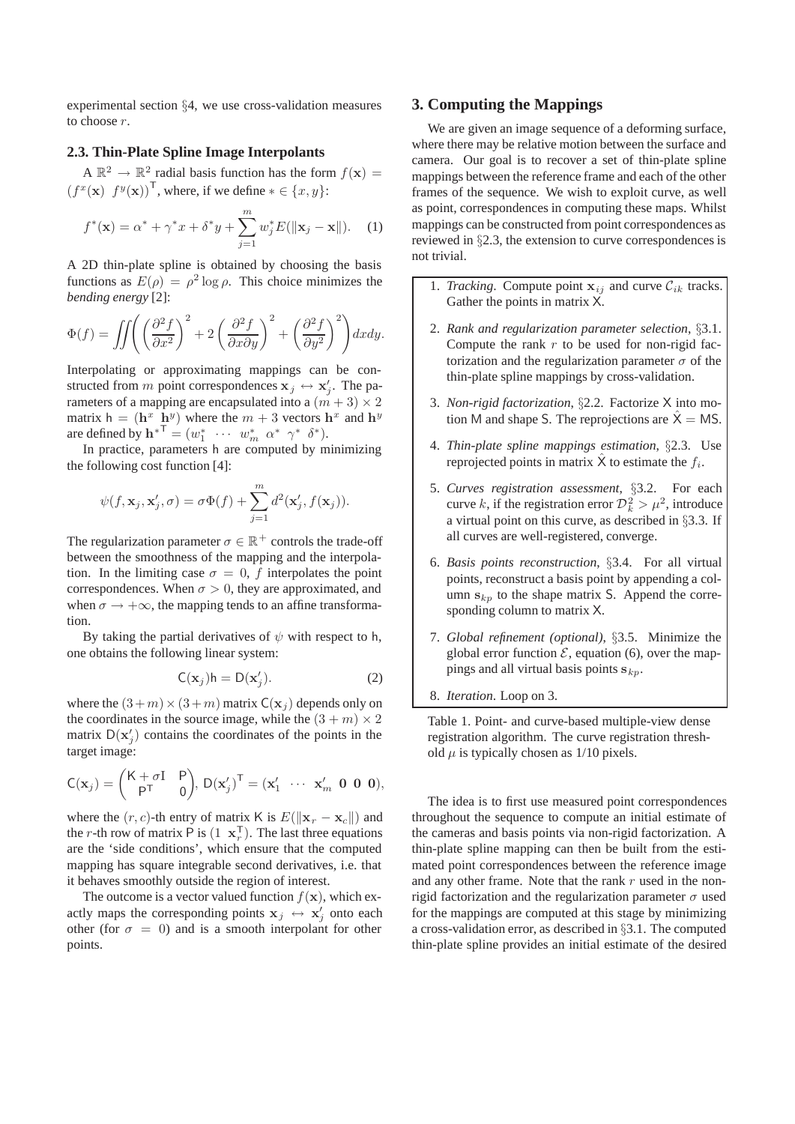experimental section §4, we use cross-validation measures to choose r.

# **2.3. Thin-Plate Spline Image Interpolants**

A  $\mathbb{R}^2 \to \mathbb{R}^2$  radial basis function has the form  $f(\mathbf{x}) =$  $(f^x(\mathbf{x}) \ f^y(\mathbf{x}))^{\mathsf{T}}$ , where, if we define  $* \in \{x, y\}$ :

$$
f^*(\mathbf{x}) = \alpha^* + \gamma^* x + \delta^* y + \sum_{j=1}^m w_j^* E(||\mathbf{x}_j - \mathbf{x}||). \quad (1)
$$

A 2D thin-plate spline is obtained by choosing the basis functions as  $E(\rho) = \rho^2 \log \rho$ . This choice minimizes the *bending energy* [2]:

$$
\Phi(f) = \iint \left( \left( \frac{\partial^2 f}{\partial x^2} \right)^2 + 2 \left( \frac{\partial^2 f}{\partial x \partial y} \right)^2 + \left( \frac{\partial^2 f}{\partial y^2} \right)^2 \right) dx dy.
$$

Interpolating or approximating mappings can be constructed from m point correspondences  $\mathbf{x}_j \leftrightarrow \mathbf{x}'_j$ . The parameters of a manning are encapsulated into a  $(m+3) \times 2$ rameters of a mapping are encapsulated into a  $(m + 3) \times 2$ matrix h =  $(\mathbf{h}^x \mathbf{h}^y)$  where the  $m + 3$  vectors  $\mathbf{h}^x$  and  $\mathbf{h}^y$ <br>are defined by  $\mathbf{h}^{*T} = (w^* \dots w^* \quad \mathbf{e}^* \quad \mathbf{e}^{*} \quad \mathbf{e}^{*})$ are defined by  $\mathbf{h}^{*T} = (w_1^* \cdots w_m^* \alpha^* \gamma^* \delta^*).$ <br>In practice, parameters h are computed by m

In practice, parameters h are computed by minimizing the following cost function [4]:

$$
\psi(f, \mathbf{x}_j, \mathbf{x}'_j, \sigma) = \sigma \Phi(f) + \sum_{j=1}^m d^2(\mathbf{x}'_j, f(\mathbf{x}_j)).
$$

The regularization parameter  $\sigma \in \mathbb{R}^+$  controls the trade-off between the smoothness of the mapping and the interpolation. In the limiting case  $\sigma = 0$ , f interpolates the point correspondences. When  $\sigma > 0$ , they are approximated, and when  $\sigma \rightarrow +\infty$ , the mapping tends to an affine transformation.

By taking the partial derivatives of  $\psi$  with respect to h, one obtains the following linear system:

$$
C(\mathbf{x}_j)h = D(\mathbf{x}'_j). \tag{2}
$$

where the  $(3 + m) \times (3 + m)$  matrix  $C(\mathbf{x}_i)$  depends only on the coordinates in the source image, while the  $(3 + m) \times 2$ matrix  $D(\mathbf{x}'_j)$  contains the coordinates of the points in the target image: target image:

$$
C(\mathbf{x}_j) = \begin{pmatrix} K + \sigma I & P \\ P^T & 0 \end{pmatrix}, D(\mathbf{x}'_j)^T = (\mathbf{x}'_1 \cdots \mathbf{x}'_m \mathbf{0} \mathbf{0} \mathbf{0}),
$$

where the  $(r, c)$ -th entry of matrix K is  $E(||\mathbf{x}_r - \mathbf{x}_c||)$  and the *r*-th row of matrix P is  $(1 \mathbf{x}_r^T)$ . The last three equations<br>are the 'side conditions' which ensure that the computed are the 'side conditions', which ensure that the computed mapping has square integrable second derivatives, i.e. that it behaves smoothly outside the region of interest.

The outcome is a vector valued function  $f(\mathbf{x})$ , which exactly maps the corresponding points  $x_j \leftrightarrow x'_j$  onto each other (for  $\sigma = 0$ ) and is a smooth interpolant for other other (for  $\sigma = 0$ ) and is a smooth interpolant for other points.

## **3. Computing the Mappings**

We are given an image sequence of a deforming surface, where there may be relative motion between the surface and camera. Our goal is to recover a set of thin-plate spline mappings between the reference frame and each of the other frames of the sequence. We wish to exploit curve, as well as point, correspondences in computing these maps. Whilst mappings can be constructed from point correspondences as reviewed in §2.3, the extension to curve correspondences is not trivial.

- 1. *Tracking*. Compute point  $x_{ij}$  and curve  $\mathcal{C}_{ik}$  tracks. Gather the points in matrix X.
- 2. *Rank and regularization parameter selection*, §3.1. Compute the rank  $r$  to be used for non-rigid factorization and the regularization parameter  $\sigma$  of the thin-plate spline mappings by cross-validation.
- 3. *Non-rigid factorization*, §2.2. Factorize X into motion M and shape S. The reprojections are  $\hat{X} = MS$ .
- 4. *Thin-plate spline mappings estimation*, §2.3. Use reprojected points in matrix  $\hat{X}$  to estimate the  $f_i$ .
- 5. *Curves registration assessment*, §3.2. For each curve k, if the registration error  $\mathcal{D}_k^2 > \mu^2$ , introduce a virtual point on this curve, as described in §3.3. If all curves are well-registered, converge.
- 6. *Basis points reconstruction*, §3.4. For all virtual points, reconstruct a basis point by appending a column  $s_{kn}$  to the shape matrix S. Append the corresponding column to matrix X.
- 7. *Global refinement (optional)*, §3.5. Minimize the global error function  $\mathcal{E}$ , equation (6), over the mappings and all virtual basis points **s***kp*.
- 8. *Iteration*. Loop on 3.

Table 1. Point- and curve-based multiple-view dense registration algorithm. The curve registration threshold  $\mu$  is typically chosen as 1/10 pixels.

The idea is to first use measured point correspondences throughout the sequence to compute an initial estimate of the cameras and basis points via non-rigid factorization. A thin-plate spline mapping can then be built from the estimated point correspondences between the reference image and any other frame. Note that the rank  $r$  used in the nonrigid factorization and the regularization parameter  $\sigma$  used for the mappings are computed at this stage by minimizing a cross-validation error, as described in §3.1. The computed thin-plate spline provides an initial estimate of the desired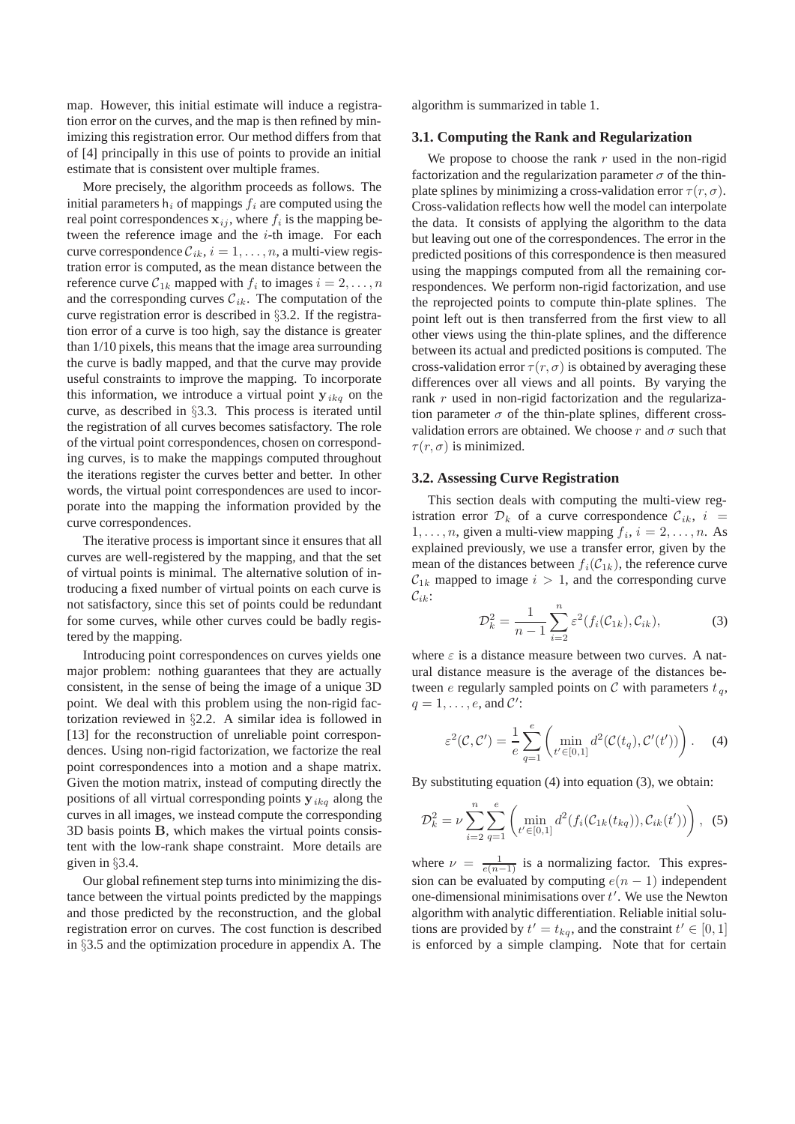map. However, this initial estimate will induce a registration error on the curves, and the map is then refined by minimizing this registration error. Our method differs from that of [4] principally in this use of points to provide an initial estimate that is consistent over multiple frames.

More precisely, the algorithm proceeds as follows. The initial parameters  $h_i$  of mappings  $f_i$  are computed using the real point correspondences  $x_{ij}$ , where  $f_i$  is the mapping between the reference image and the  $i$ -th image. For each curve correspondence  $C_{ik}$ ,  $i = 1, \ldots, n$ , a multi-view registration error is computed, as the mean distance between the reference curve  $C_{1k}$  mapped with  $f_i$  to images  $i = 2, \ldots, n$ and the corresponding curves  $C_{ik}$ . The computation of the curve registration error is described in §3.2. If the registration error of a curve is too high, say the distance is greater than 1/10 pixels, this means that the image area surrounding the curve is badly mapped, and that the curve may provide useful constraints to improve the mapping. To incorporate this information, we introduce a virtual point  $y_{ikq}$  on the curve, as described in §3.3. This process is iterated until the registration of all curves becomes satisfactory. The role of the virtual point correspondences, chosen on corresponding curves, is to make the mappings computed throughout the iterations register the curves better and better. In other words, the virtual point correspondences are used to incorporate into the mapping the information provided by the curve correspondences.

The iterative process is important since it ensures that all curves are well-registered by the mapping, and that the set of virtual points is minimal. The alternative solution of introducing a fixed number of virtual points on each curve is not satisfactory, since this set of points could be redundant for some curves, while other curves could be badly registered by the mapping.

Introducing point correspondences on curves yields one major problem: nothing guarantees that they are actually consistent, in the sense of being the image of a unique 3D point. We deal with this problem using the non-rigid factorization reviewed in §2.2. A similar idea is followed in [13] for the reconstruction of unreliable point correspondences. Using non-rigid factorization, we factorize the real point correspondences into a motion and a shape matrix. Given the motion matrix, instead of computing directly the positions of all virtual corresponding points  $y_{ikq}$  along the curves in all images, we instead compute the corresponding 3D basis points **B**, which makes the virtual points consistent with the low-rank shape constraint. More details are given in §3.4.

Our global refinement step turns into minimizing the distance between the virtual points predicted by the mappings and those predicted by the reconstruction, and the global registration error on curves. The cost function is described in §3.5 and the optimization procedure in appendix A. The

algorithm is summarized in table 1.

#### **3.1. Computing the Rank and Regularization**

We propose to choose the rank  $r$  used in the non-rigid factorization and the regularization parameter  $\sigma$  of the thinplate splines by minimizing a cross-validation error  $\tau(r, \sigma)$ . Cross-validation reflects how well the model can interpolate the data. It consists of applying the algorithm to the data but leaving out one of the correspondences. The error in the predicted positions of this correspondence is then measured using the mappings computed from all the remaining correspondences. We perform non-rigid factorization, and use the reprojected points to compute thin-plate splines. The point left out is then transferred from the first view to all other views using the thin-plate splines, and the difference between its actual and predicted positions is computed. The cross-validation error  $\tau(r, \sigma)$  is obtained by averaging these differences over all views and all points. By varying the rank r used in non-rigid factorization and the regularization parameter  $\sigma$  of the thin-plate splines, different crossvalidation errors are obtained. We choose r and  $\sigma$  such that  $\tau(r,\sigma)$  is minimized.

#### **3.2. Assessing Curve Registration**

This section deals with computing the multi-view registration error  $\mathcal{D}_k$  of a curve correspondence  $\mathcal{C}_{ik}$ ,  $i =$  $1, \ldots, n$ , given a multi-view mapping  $f_i$ ,  $i = 2, \ldots, n$ . As explained previously, we use a transfer error, given by the mean of the distances between  $f_i(\mathcal{C}_{1k})$ , the reference curve  $C_{1k}$  mapped to image  $i > 1$ , and the corresponding curve  $\mathcal{C}_{ik}$ :

$$
\mathcal{D}_k^2 = \frac{1}{n-1} \sum_{i=2}^n \varepsilon^2(f_i(\mathcal{C}_{1k}), \mathcal{C}_{ik}), \tag{3}
$$

where  $\varepsilon$  is a distance measure between two curves. A natural distance measure is the average of the distances between  $e$  regularly sampled points on  $C$  with parameters  $t<sub>q</sub>$ ,  $q = 1, \ldots, e$ , and  $C'$ :

$$
\varepsilon^2(\mathcal{C}, \mathcal{C}') = \frac{1}{e} \sum_{q=1}^e \left( \min_{t' \in [0,1]} d^2(\mathcal{C}(t_q), \mathcal{C}'(t')) \right). \tag{4}
$$

By substituting equation (4) into equation (3), we obtain:

$$
\mathcal{D}_k^2 = \nu \sum_{i=2}^n \sum_{q=1}^e \left( \min_{t' \in [0,1]} d^2(f_i(\mathcal{C}_{1k}(t_{kq})), \mathcal{C}_{ik}(t')) \right), \tag{5}
$$

where  $\nu = \frac{1}{e(n-1)}$  is a normalizing factor. This expression can be evaluated by commuting  $e(n-1)$  independent sion can be evaluated by computing  $e(n - 1)$  independent one-dimensional minimisations over  $t'$ . We use the Newton algorithm with analytic differentiation. Reliable initial solutions are provided by  $t' = t_{kq}$ , and the constraint  $t' \in [0, 1]$ <br>is enforced by a simple clamping. Note that for certain is enforced by a simple clamping. Note that for certain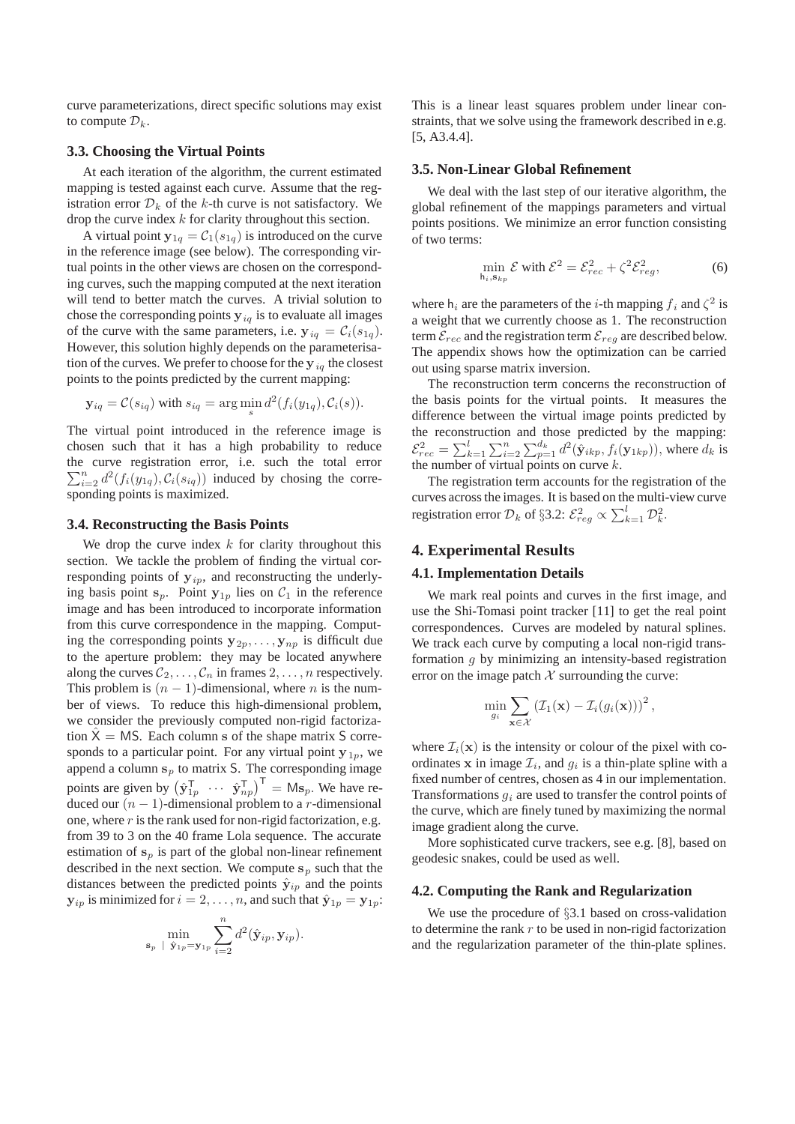curve parameterizations, direct specific solutions may exist to compute  $\mathcal{D}_k$ .

## **3.3. Choosing the Virtual Points**

At each iteration of the algorithm, the current estimated mapping is tested against each curve. Assume that the registration error  $\mathcal{D}_k$  of the k-th curve is not satisfactory. We drop the curve index k for clarity throughout this section.

A virtual point  $y_{1q} = C_1(s_{1q})$  is introduced on the curve in the reference image (see below). The corresponding virtual points in the other views are chosen on the corresponding curves, such the mapping computed at the next iteration will tend to better match the curves. A trivial solution to chose the corresponding points  $y_{ia}$  is to evaluate all images of the curve with the same parameters, i.e.  $y_{ia} = C_i(s_{1a})$ . However, this solution highly depends on the parameterisation of the curves. We prefer to choose for the  $y_{ia}$  the closest points to the points predicted by the current mapping:

$$
\mathbf{y}_{iq} = \mathcal{C}(s_{iq}) \text{ with } s_{iq} = \arg\min_{s} d^2(f_i(y_{1q}), \mathcal{C}_i(s)).
$$

The virtual point introduced in the reference image is chosen such that it has a high probability to reduce the curve registration error, i.e. such the total error  $\sum_{i=2}^{n} d^{2}(f_{i}(y_{1q}), C_{i}(s_{iq}))$  induced by chosing the corresponding points is maximized.

## **3.4. Reconstructing the Basis Points**

We drop the curve index  $k$  for clarity throughout this section. We tackle the problem of finding the virtual corresponding points of **y***ip*, and reconstructing the underlying basis point  $\mathbf{s}_p$ . Point  $\mathbf{y}_{1p}$  lies on  $\mathcal{C}_1$  in the reference image and has been introduced to incorporate information from this curve correspondence in the mapping. Computing the corresponding points  $y_{2p}$ , ...,  $y_{np}$  is difficult due to the aperture problem: they may be located anywhere along the curves  $C_2, \ldots, C_n$  in frames  $2, \ldots, n$  respectively. This problem is  $(n - 1)$ -dimensional, where *n* is the number of views. To reduce this high-dimensional problem, we consider the previously computed non-rigid factorization  $\hat{X} = MS$ . Each column s of the shape matrix S corresponds to a particular point. For any virtual point  $y_{1p}$ , we append a column  $s_p$  to matrix S. The corresponding image points are given by  $(\hat{y}_{1p}^T \cdots \hat{y}_{np}^T)^T = M s_p$ . We have reduced our  $(n - 1)$ -dimensional problem to a r-dimensional one, where  $r$  is the rank used for non-rigid factorization, e.g. from 39 to 3 on the 40 frame Lola sequence. The accurate estimation of  $s_p$  is part of the global non-linear refinement described in the next section. We compute  $s_p$  such that the distances between the predicted points  $\hat{\mathbf{y}}_{ip}$  and the points  $y_{ip}$  is minimized for  $i = 2, \ldots, n$ , and such that  $\hat{y}_{1p} = y_{1p}$ .

$$
\min_{\mathbf{s}_p \ \mid \ \hat{\mathbf{y}}_{1p} = \mathbf{y}_{1p}} \sum_{i=2}^n d^2(\hat{\mathbf{y}}_{ip}, \mathbf{y}_{ip}).
$$

This is a linear least squares problem under linear constraints, that we solve using the framework described in e.g. [5, A3.4.4].

#### **3.5. Non-Linear Global Refinement**

We deal with the last step of our iterative algorithm, the global refinement of the mappings parameters and virtual points positions. We minimize an error function consisting of two terms:

$$
\min_{h_i, s_{kp}} \mathcal{E} \text{ with } \mathcal{E}^2 = \mathcal{E}_{rec}^2 + \zeta^2 \mathcal{E}_{reg}^2,\tag{6}
$$

where  $h_i$  are the parameters of the *i*-th mapping  $f_i$  and  $\zeta^2$  is a weight that we currently choose as 1. The reconstruction term  $\mathcal{E}_{rec}$  and the registration term  $\mathcal{E}_{req}$  are described below. The appendix shows how the optimization can be carried out using sparse matrix inversion.

The reconstruction term concerns the reconstruction of the basis points for the virtual points. It measures the difference between the virtual image points predicted by the reconstruction and those predicted by the mapping:  $\mathcal{E}_{rec}^2 = \sum_{k=1}^l \sum_{i=2}^n \sum_{p=1}^{d_k} d^2(\hat{\mathbf{y}}_{ikp}, f_i(\mathbf{y}_{1kp}))$ , where  $d_k$  is the number of virtual points on curve k.

The registration term accounts for the registration of the curves across the images. It is based on the multi-view curve registration error  $\mathcal{D}_k$  of §3.2:  $\mathcal{E}_{reg}^2 \propto \sum_{k=1}^l \mathcal{D}_k^2$ .

## **4. Experimental Results**

#### **4.1. Implementation Details**

We mark real points and curves in the first image, and use the Shi-Tomasi point tracker [11] to get the real point correspondences. Curves are modeled by natural splines. We track each curve by computing a local non-rigid transformation  $q$  by minimizing an intensity-based registration error on the image patch  $X$  surrounding the curve:

$$
\min_{g_i} \sum_{\mathbf{x} \in \mathcal{X}} \left( \mathcal{I}_1(\mathbf{x}) - \mathcal{I}_i(g_i(\mathbf{x})) \right)^2,
$$

where  $\mathcal{I}_i(\mathbf{x})$  is the intensity or colour of the pixel with coordinates **x** in image  $\mathcal{I}_i$ , and  $q_i$  is a thin-plate spline with a fixed number of centres, chosen as 4 in our implementation. Transformations g*<sup>i</sup>* are used to transfer the control points of the curve, which are finely tuned by maximizing the normal image gradient along the curve.

More sophisticated curve trackers, see e.g. [8], based on geodesic snakes, could be used as well.

#### **4.2. Computing the Rank and Regularization**

We use the procedure of §3.1 based on cross-validation to determine the rank  $r$  to be used in non-rigid factorization and the regularization parameter of the thin-plate splines.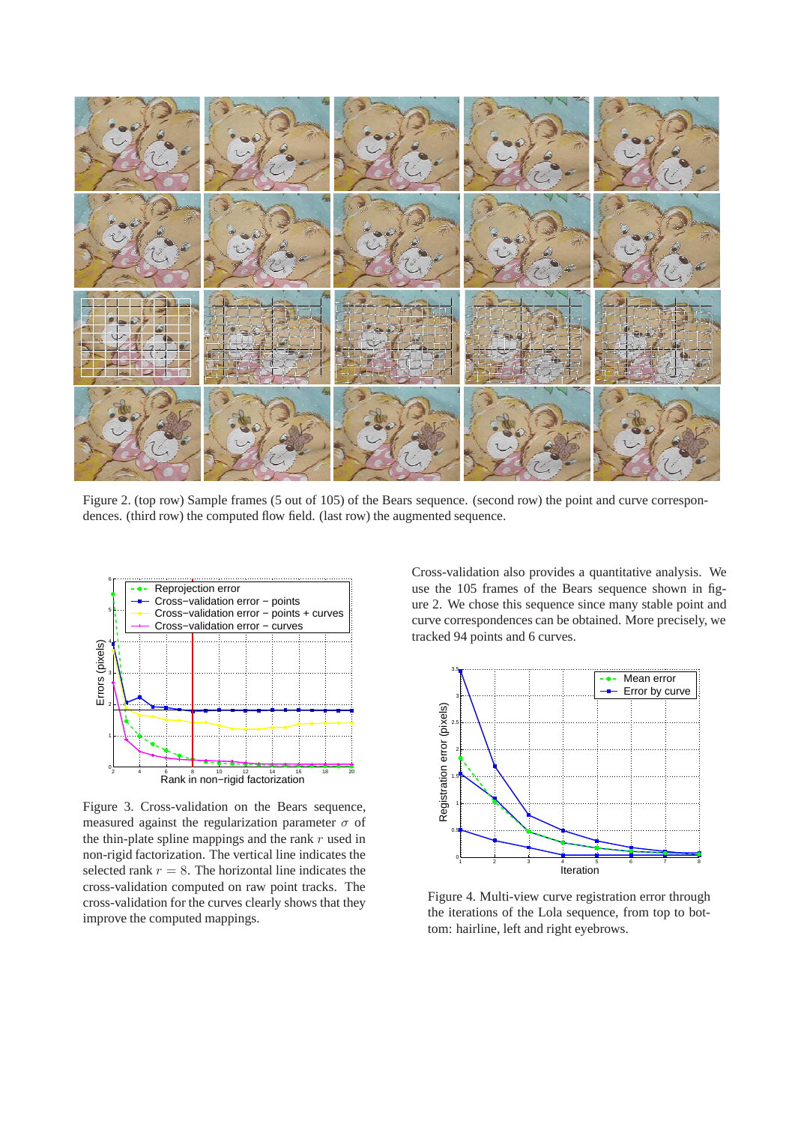

Figure 2. (top row) Sample frames (5 out of 105) of the Bears sequence. (second row) the point and curve correspondences. (third row) the computed flow field. (last row) the augmented sequence.



Figure 3. Cross-validation on the Bears sequence, measured against the regularization parameter  $\sigma$  of the thin-plate spline mappings and the rank  $r$  used in non-rigid factorization. The vertical line indicates the selected rank  $r = 8$ . The horizontal line indicates the cross-validation computed on raw point tracks. The cross-validation for the curves clearly shows that they improve the computed mappings.

Cross-validation also provides a quantitative analysis. We use the 105 frames of the Bears sequence shown in figure 2. We chose this sequence since many stable point and curve correspondences can be obtained. More precisely, we tracked 94 points and 6 curves.



Figure 4. Multi-view curve registration error through the iterations of the Lola sequence, from top to bottom: hairline, left and right eyebrows.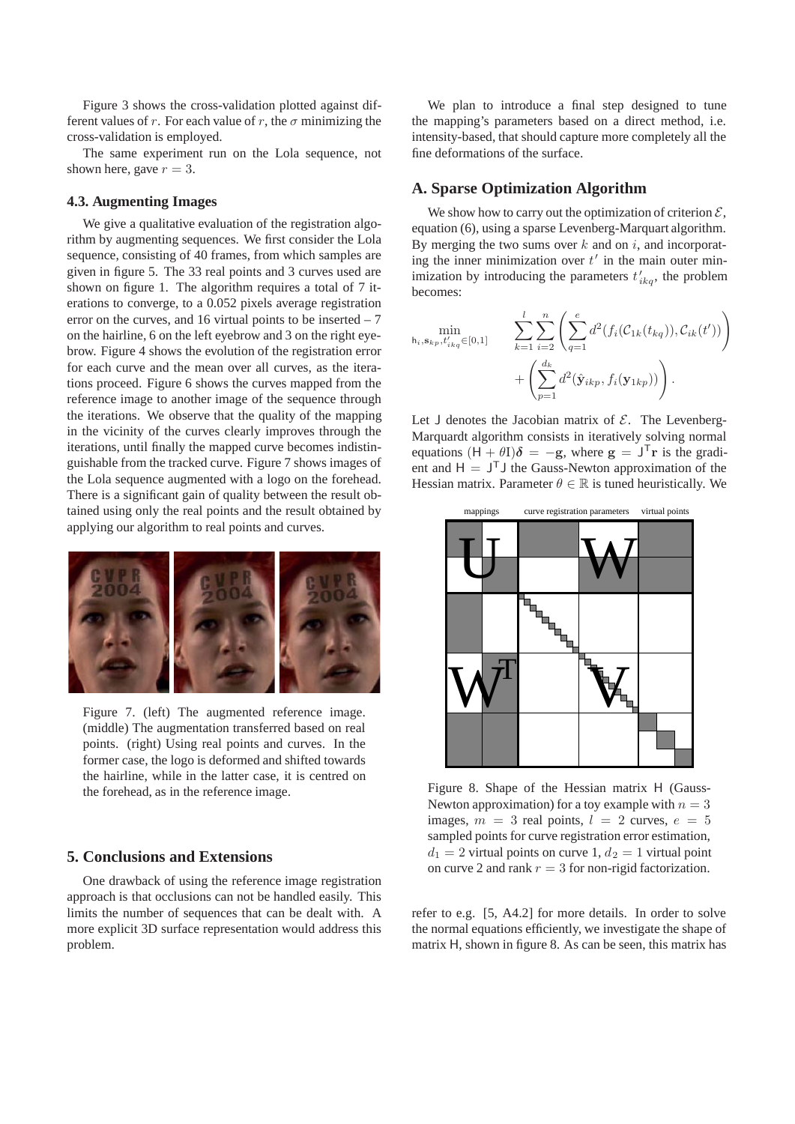Figure 3 shows the cross-validation plotted against different values of r. For each value of r, the  $\sigma$  minimizing the cross-validation is employed.

The same experiment run on the Lola sequence, not shown here, gave  $r = 3$ .

#### **4.3. Augmenting Images**

We give a qualitative evaluation of the registration algorithm by augmenting sequences. We first consider the Lola sequence, consisting of 40 frames, from which samples are given in figure 5. The 33 real points and 3 curves used are shown on figure 1. The algorithm requires a total of 7 iterations to converge, to a 0.052 pixels average registration error on the curves, and 16 virtual points to be inserted – 7 on the hairline, 6 on the left eyebrow and 3 on the right eyebrow. Figure 4 shows the evolution of the registration error for each curve and the mean over all curves, as the iterations proceed. Figure 6 shows the curves mapped from the reference image to another image of the sequence through the iterations. We observe that the quality of the mapping in the vicinity of the curves clearly improves through the iterations, until finally the mapped curve becomes indistinguishable from the tracked curve. Figure 7 shows images of the Lola sequence augmented with a logo on the forehead. There is a significant gain of quality between the result obtained using only the real points and the result obtained by applying our algorithm to real points and curves.



Figure 7. (left) The augmented reference image. (middle) The augmentation transferred based on real points. (right) Using real points and curves. In the former case, the logo is deformed and shifted towards the hairline, while in the latter case, it is centred on the forehead, as in the reference image.

# **5. Conclusions and Extensions**

One drawback of using the reference image registration approach is that occlusions can not be handled easily. This limits the number of sequences that can be dealt with. A more explicit 3D surface representation would address this problem.

We plan to introduce a final step designed to tune the mapping's parameters based on a direct method, i.e. intensity-based, that should capture more completely all the fine deformations of the surface.

# **A. Sparse Optimization Algorithm**

We show how to carry out the optimization of criterion  $\mathcal{E}$ , equation (6), using a sparse Levenberg-Marquart algorithm. By merging the two sums over  $k$  and on  $i$ , and incorporating the inner minimization over  $t'$  in the main outer minimization by introducing the parameters  $t'_{ikq}$ , the problem becomes:

$$
\min_{\mathbf{h}_i, \mathbf{s}_{kp}, t'_{ikq} \in [0,1]} \qquad \sum_{k=1}^l \sum_{i=2}^n \left( \sum_{q=1}^e d^2(f_i(\mathcal{C}_{1k}(t_{kq})), \mathcal{C}_{ik}(t')) \right) + \left( \sum_{p=1}^{d_k} d^2(\hat{\mathbf{y}}_{ikp}, f_i(\mathbf{y}_{1kp})) \right).
$$

Let J denotes the Jacobian matrix of  $\mathcal{E}$ . The Levenberg-Marquardt algorithm consists in iteratively solving normal equations  $(H + \theta I)\delta = -g$ , where  $g = J^T r$  is the gradient and  $H = J<sup>T</sup>J$  the Gauss-Newton approximation of the Hessian matrix. Parameter  $\theta \in \mathbb{R}$  is tuned heuristically. We



Figure 8. Shape of the Hessian matrix H (Gauss-Newton approximation) for a toy example with  $n = 3$ images,  $m = 3$  real points,  $l = 2$  curves,  $e = 5$ sampled points for curve registration error estimation,  $d_1 = 2$  virtual points on curve 1,  $d_2 = 1$  virtual point on curve 2 and rank  $r = 3$  for non-rigid factorization.

refer to e.g. [5, A4.2] for more details. In order to solve the normal equations efficiently, we investigate the shape of matrix H, shown in figure 8. As can be seen, this matrix has